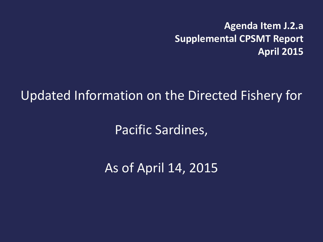**Agenda Item J.2.a Supplemental CPSMT Report April 2015**

Updated Information on the Directed Fishery for

Pacific Sardines,

As of April 14, 2015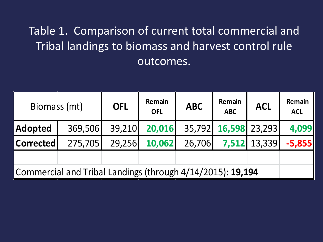## Table 1. Comparison of current total commercial and Tribal landings to biomass and harvest control rule outcomes.

| Biomass (mt)                                               |         | <b>OFL</b> | Remain<br><b>OFL</b> | <b>ABC</b> | Remain<br><b>ABC</b> | <b>ACL</b>   | Remain<br><b>ACL</b> |
|------------------------------------------------------------|---------|------------|----------------------|------------|----------------------|--------------|----------------------|
| Adopted                                                    | 369,506 | 39,210     | 20,016               |            | 35,792 16,598 23,293 |              | 4,099                |
| <b>Corrected</b>                                           | 275,705 | 29,256     | 10,062               | 26,706     |                      | 7,512 13,339 | $-5,855$             |
|                                                            |         |            |                      |            |                      |              |                      |
| Commercial and Tribal Landings (through 4/14/2015): 19,194 |         |            |                      |            |                      |              |                      |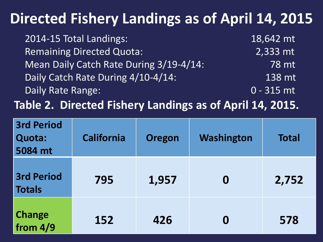## **Directed Fishery Landings as of April 14, 2015**

| 2014-15 Total Landings:                 | 18,642 mt    |
|-----------------------------------------|--------------|
| <b>Remaining Directed Quota:</b>        | 2,333 mt     |
| Mean Daily Catch Rate During 3/19-4/14: | 78 mt        |
| Daily Catch Rate During 4/10-4/14:      | 138 mt       |
| Daily Rate Range:                       | $0 - 315$ mt |

**Table 2. Directed Fishery Landings as of April 14, 2015.**

| <b>3rd Period</b><br>Quota:<br>5084 mt | <b>California</b> | <b>Oregon</b> | Washington       | <b>Total</b> |
|----------------------------------------|-------------------|---------------|------------------|--------------|
| <b>3rd Period</b><br><b>Totals</b>     | 795               | 1,957         | $\boldsymbol{0}$ | 2,752        |
| <b>Change</b><br>from 4/9              | 152               | 426           | O                | 578          |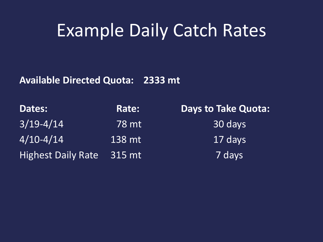## Example Daily Catch Rates

**Available Directed Quota: 2333 mt**

| Dates:                    | Rate:  | <b>Days to Take Quota:</b> |
|---------------------------|--------|----------------------------|
| $3/19 - 4/14$             | 78 mt  | 30 days                    |
| $4/10 - 4/14$             | 138 mt | 17 days                    |
| <b>Highest Daily Rate</b> | 315 mt | 7 days                     |